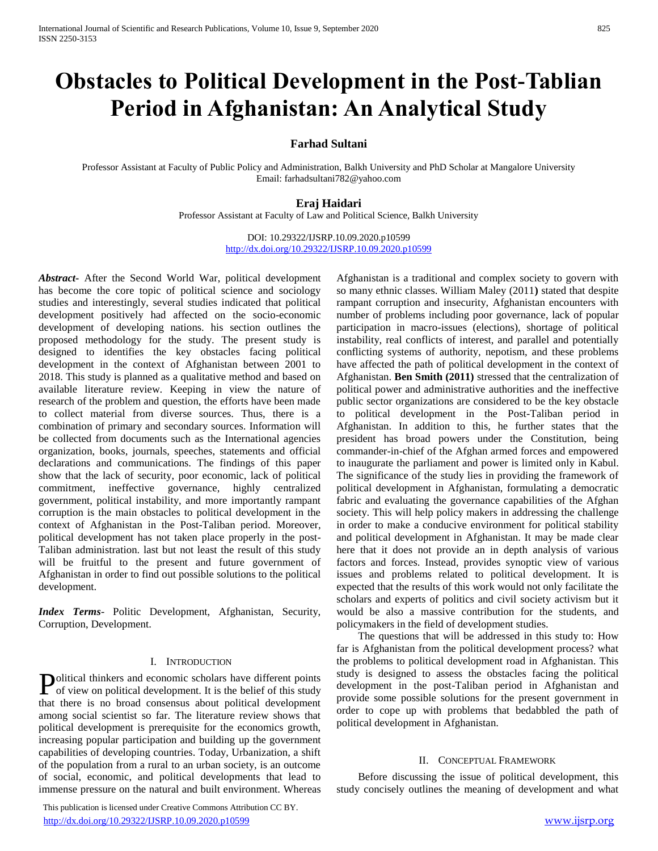# **Obstacles to Political Development in the Post-Tablian Period in Afghanistan: An Analytical Study**

## **Farhad Sultani**

Professor Assistant at Faculty of Public Policy and Administration, Balkh University and PhD Scholar at Mangalore University Email: farhadsultani782@yahoo.com

## **Eraj Haidari**

Professor Assistant at Faculty of Law and Political Science, Balkh University

DOI: 10.29322/IJSRP.10.09.2020.p10599 <http://dx.doi.org/10.29322/IJSRP.10.09.2020.p10599>

*Abstract***-** After the Second World War, political development has become the core topic of political science and sociology studies and interestingly, several studies indicated that political development positively had affected on the socio-economic development of developing nations. his section outlines the proposed methodology for the study. The present study is designed to identifies the key obstacles facing political development in the context of Afghanistan between 2001 to 2018. This study is planned as a qualitative method and based on available literature review. Keeping in view the nature of research of the problem and question, the efforts have been made to collect material from diverse sources. Thus, there is a combination of primary and secondary sources. Information will be collected from documents such as the International agencies organization, books, journals, speeches, statements and official declarations and communications. The findings of this paper show that the lack of security, poor economic, lack of political commitment, ineffective governance, highly centralized government, political instability, and more importantly rampant corruption is the main obstacles to political development in the context of Afghanistan in the Post-Taliban period. Moreover, political development has not taken place properly in the post-Taliban administration. last but not least the result of this study will be fruitful to the present and future government of Afghanistan in order to find out possible solutions to the political development.

*Index Terms*- Politic Development, Afghanistan, Security, Corruption, Development.

## I. INTRODUCTION

olitical thinkers and economic scholars have different points **P**olitical thinkers and economic scholars have different points of view on political development. It is the belief of this study that there is no broad consensus about political development among social scientist so far. The literature review shows that political development is prerequisite for the economics growth, increasing popular participation and building up the government capabilities of developing countries. Today, Urbanization, a shift of the population from a rural to an urban society, is an outcome of social, economic, and political developments that lead to immense pressure on the natural and built environment. Whereas

 This publication is licensed under Creative Commons Attribution CC BY. <http://dx.doi.org/10.29322/IJSRP.10.09.2020.p10599> [www.ijsrp.org](http://ijsrp.org/)

Afghanistan is a traditional and complex society to govern with so many ethnic classes. William Maley (2011**)** stated that despite rampant corruption and insecurity, Afghanistan encounters with number of problems including poor governance, lack of popular participation in macro-issues (elections), shortage of political instability, real conflicts of interest, and parallel and potentially conflicting systems of authority, nepotism, and these problems have affected the path of political development in the context of Afghanistan. **Ben Smith (2011)** stressed that the centralization of political power and administrative authorities and the ineffective public sector organizations are considered to be the key obstacle to political development in the Post-Taliban period in Afghanistan. In addition to this, he further states that the president has broad powers under the Constitution, being commander-in-chief of the Afghan armed forces and empowered to inaugurate the parliament and power is limited only in Kabul. The significance of the study lies in providing the framework of political development in Afghanistan, formulating a democratic fabric and evaluating the governance capabilities of the Afghan society. This will help policy makers in addressing the challenge in order to make a conducive environment for political stability and political development in Afghanistan. It may be made clear here that it does not provide an in depth analysis of various factors and forces. Instead, provides synoptic view of various issues and problems related to political development. It is expected that the results of this work would not only facilitate the scholars and experts of politics and civil society activism but it would be also a massive contribution for the students, and policymakers in the field of development studies.

 The questions that will be addressed in this study to: How far is Afghanistan from the political development process? what the problems to political development road in Afghanistan. This study is designed to assess the obstacles facing the political development in the post-Taliban period in Afghanistan and provide some possible solutions for the present government in order to cope up with problems that bedabbled the path of political development in Afghanistan.

#### II. CONCEPTUAL FRAMEWORK

 Before discussing the issue of political development, this study concisely outlines the meaning of development and what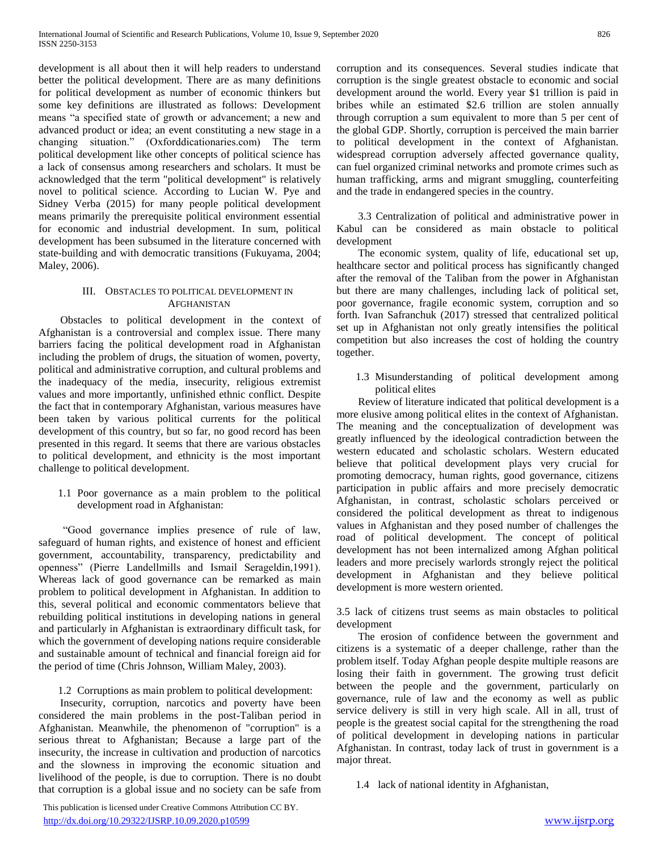development is all about then it will help readers to understand better the political development. There are as many definitions for political development as number of economic thinkers but some key definitions are illustrated as follows: Development means "a specified state of growth or advancement; a new and advanced product or idea; an event constituting a new stage in a changing situation." (Oxforddicationaries.com) The term political development like other concepts of political science has a lack of consensus among researchers and scholars. It must be acknowledged that the term "political development" is relatively novel to political science. According to Lucian W. Pye and Sidney Verba (2015) for many people political development means primarily the prerequisite political environment essential for economic and industrial development. In sum, political development has been subsumed in the literature concerned with state-building and with democratic transitions (Fukuyama, 2004; Maley, 2006).

## III. OBSTACLES TO POLITICAL DEVELOPMENT IN AFGHANISTAN

 Obstacles to political development in the context of Afghanistan is a controversial and complex issue. There many barriers facing the political development road in Afghanistan including the problem of drugs, the situation of women, poverty, political and administrative corruption, and cultural problems and the inadequacy of the media, insecurity, religious extremist values and more importantly, unfinished ethnic conflict. Despite the fact that in contemporary Afghanistan, various measures have been taken by various political currents for the political development of this country, but so far, no good record has been presented in this regard. It seems that there are various obstacles to political development, and ethnicity is the most important challenge to political development.

1.1 Poor governance as a main problem to the political development road in Afghanistan:

 "Good governance implies presence of rule of law, safeguard of human rights, and existence of honest and efficient government, accountability, transparency, predictability and openness" (Pierre Landellmills and Ismail Serageldin,1991). Whereas lack of good governance can be remarked as main problem to political development in Afghanistan. In addition to this, several political and economic commentators believe that rebuilding political institutions in developing nations in general and particularly in Afghanistan is extraordinary difficult task, for which the government of developing nations require considerable and sustainable amount of technical and financial foreign aid for the period of time (Chris Johnson, William Maley, 2003).

# 1.2 Corruptions as main problem to political development:

 Insecurity, corruption, narcotics and poverty have been considered the main problems in the post-Taliban period in Afghanistan. Meanwhile, the phenomenon of "corruption" is a serious threat to Afghanistan; Because a large part of the insecurity, the increase in cultivation and production of narcotics and the slowness in improving the economic situation and livelihood of the people, is due to corruption. There is no doubt that corruption is a global issue and no society can be safe from

 This publication is licensed under Creative Commons Attribution CC BY. <http://dx.doi.org/10.29322/IJSRP.10.09.2020.p10599> [www.ijsrp.org](http://ijsrp.org/)

corruption and its consequences. Several studies indicate that corruption is the single greatest obstacle to economic and social development around the world. Every year \$1 trillion is paid in bribes while an estimated \$2.6 trillion are stolen annually through corruption a sum equivalent to more than 5 per cent of the global GDP. Shortly, corruption is perceived the main barrier to political development in the context of Afghanistan. widespread corruption adversely affected governance quality, can fuel organized criminal networks and promote crimes such as human trafficking, arms and migrant smuggling, counterfeiting and the trade in endangered species in the country.

 3.3 Centralization of political and administrative power in Kabul can be considered as main obstacle to political development

 The economic system, quality of life, educational set up, healthcare sector and political process has significantly changed after the removal of the Taliban from the power in Afghanistan but there are many challenges, including lack of political set, poor governance, fragile economic system, corruption and so forth. Ivan Safranchuk (2017) stressed that centralized political set up in Afghanistan not only greatly intensifies the political competition but also increases the cost of holding the country together.

1.3 Misunderstanding of political development among political elites

 Review of literature indicated that political development is a more elusive among political elites in the context of Afghanistan. The meaning and the conceptualization of development was greatly influenced by the ideological contradiction between the western educated and scholastic scholars. Western educated believe that political development plays very crucial for promoting democracy, human rights, good governance, citizens participation in public affairs and more precisely democratic Afghanistan, in contrast, scholastic scholars perceived or considered the political development as threat to indigenous values in Afghanistan and they posed number of challenges the road of political development. The concept of political development has not been internalized among Afghan political leaders and more precisely warlords strongly reject the political development in Afghanistan and they believe political development is more western oriented.

3.5 lack of citizens trust seems as main obstacles to political development

 The erosion of confidence between the government and citizens is a systematic of a deeper challenge, rather than the problem itself. Today Afghan people despite multiple reasons are losing their faith in government. The growing trust deficit between the people and the government, particularly on governance, rule of law and the economy as well as public service delivery is still in very high scale. All in all, trust of people is the greatest social capital for the strengthening the road of political development in developing nations in particular Afghanistan. In contrast, today lack of trust in government is a major threat.

1.4 lack of national identity in Afghanistan,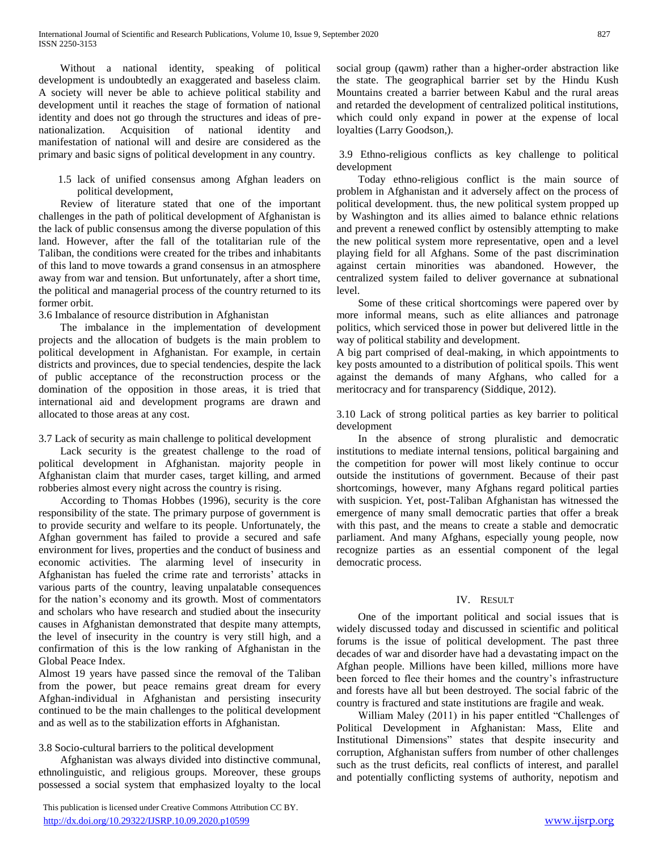Without a national identity, speaking of political development is undoubtedly an exaggerated and baseless claim. A society will never be able to achieve political stability and development until it reaches the stage of formation of national identity and does not go through the structures and ideas of prenationalization. Acquisition of national identity and manifestation of national will and desire are considered as the primary and basic signs of political development in any country.

1.5 lack of unified consensus among Afghan leaders on political development,

 Review of literature stated that one of the important challenges in the path of political development of Afghanistan is the lack of public consensus among the diverse population of this land. However, after the fall of the totalitarian rule of the Taliban, the conditions were created for the tribes and inhabitants of this land to move towards a grand consensus in an atmosphere away from war and tension. But unfortunately, after a short time, the political and managerial process of the country returned to its former orbit.

3.6 Imbalance of resource distribution in Afghanistan

 The imbalance in the implementation of development projects and the allocation of budgets is the main problem to political development in Afghanistan. For example, in certain districts and provinces, due to special tendencies, despite the lack of public acceptance of the reconstruction process or the domination of the opposition in those areas, it is tried that international aid and development programs are drawn and allocated to those areas at any cost.

## 3.7 Lack of security as main challenge to political development

 Lack security is the greatest challenge to the road of political development in Afghanistan. majority people in Afghanistan claim that murder cases, target killing, and armed robberies almost every night across the country is rising.

 According to Thomas Hobbes (1996), security is the core responsibility of the state. The primary purpose of government is to provide security and welfare to its people. Unfortunately, the Afghan government has failed to provide a secured and safe environment for lives, properties and the conduct of business and economic activities. The alarming level of insecurity in Afghanistan has fueled the crime rate and terrorists' attacks in various parts of the country, leaving unpalatable consequences for the nation's economy and its growth. Most of commentators and scholars who have research and studied about the insecurity causes in Afghanistan demonstrated that despite many attempts, the level of insecurity in the country is very still high, and a confirmation of this is the low ranking of Afghanistan in the Global Peace Index.

Almost 19 years have passed since the removal of the Taliban from the power, but peace remains great dream for every Afghan-individual in Afghanistan and persisting insecurity continued to be the main challenges to the political development and as well as to the stabilization efforts in Afghanistan.

# 3.8 Socio-cultural barriers to the political development

 Afghanistan was always divided into distinctive communal, ethnolinguistic, and religious groups. Moreover, these groups possessed a social system that emphasized loyalty to the local

 This publication is licensed under Creative Commons Attribution CC BY. <http://dx.doi.org/10.29322/IJSRP.10.09.2020.p10599> [www.ijsrp.org](http://ijsrp.org/)

social group (qawm) rather than a higher-order abstraction like the state. The geographical barrier set by the Hindu Kush Mountains created a barrier between Kabul and the rural areas and retarded the development of centralized political institutions, which could only expand in power at the expense of local loyalties (Larry Goodson,).

3.9 Ethno-religious conflicts as key challenge to political development

 Today ethno-religious conflict is the main source of problem in Afghanistan and it adversely affect on the process of political development. thus, the new political system propped up by Washington and its allies aimed to balance ethnic relations and prevent a renewed conflict by ostensibly attempting to make the new political system more representative, open and a level playing field for all Afghans. Some of the past discrimination against certain minorities was abandoned. However, the centralized system failed to deliver governance at subnational level.

 Some of these critical shortcomings were papered over by more informal means, such as elite alliances and patronage politics, which serviced those in power but delivered little in the way of political stability and development.

A big part comprised of deal-making, in which appointments to key posts amounted to a distribution of political spoils. This went against the demands of many Afghans, who called for a meritocracy and for transparency (Siddique, 2012).

3.10 Lack of strong political parties as key barrier to political development

 In the absence of strong pluralistic and democratic institutions to mediate internal tensions, political bargaining and the competition for power will most likely continue to occur outside the institutions of government. Because of their past shortcomings, however, many Afghans regard political parties with suspicion. Yet, post-Taliban Afghanistan has witnessed the emergence of many small democratic parties that offer a break with this past, and the means to create a stable and democratic parliament. And many Afghans, especially young people, now recognize parties as an essential component of the legal democratic process.

# IV. RESULT

 One of the important political and social issues that is widely discussed today and discussed in scientific and political forums is the issue of political development. The past three decades of war and disorder have had a devastating impact on the Afghan people. Millions have been killed, millions more have been forced to flee their homes and the country's infrastructure and forests have all but been destroyed. The social fabric of the country is fractured and state institutions are fragile and weak.

 William Maley (2011) in his paper entitled "Challenges of Political Development in Afghanistan: Mass, Elite and Institutional Dimensions" states that despite insecurity and corruption, Afghanistan suffers from number of other challenges such as the trust deficits, real conflicts of interest, and parallel and potentially conflicting systems of authority, nepotism and